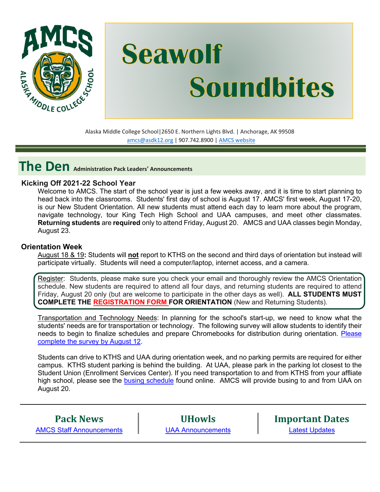

# **Seawolf Soundbites**

Alaska Middle College School|2650 E. Northern Lights Blvd. | Anchorage, AK 99508 [amcs@asdk12.org](mailto:amcs@asdk12.org) | 907.742.8900 | AMCS [website](https://www.asdk12.org/amcs)

**The Den Administration Pack Leaders' Announcements**

# **Kicking Off 2021-22 School Year**

Welcome to AMCS. The start of the school year is just a few weeks away, and it is time to start planning to head back into the classrooms. Students' first day of school is August 17. AMCS' first week, August 17-20, is our New Student Orientation. All new students must attend each day to learn more about the program, navigate technology, tour King Tech High School and UAA campuses, and meet other classmates. **Returning students** are **required** only to attend Friday, August 20. AMCS and UAA classes begin Monday, August 23.

# **Orientation Week**

August 18 & 19**:** Students will **not** report to KTHS on the second and third days of orientation but instead will participate virtually. Students will need a computer/laptop, internet access, and a camera.

Register: Students, please make sure you check your email and thoroughly review the AMCS Orientation schedule. New students are required to attend all four days, and returning students are required to attend Friday, August 20 only (but are welcome to participate in the other days as well). **ALL STUDENTS MUST COMPLETE THE [REGISTRATION](https://nam12.safelinks.protection.outlook.com/?url=http%3A%2F%2Fuaa.co1.qualtrics.com%2Fjfe%2Fform%2FSV_6PAkY1MNIHwGBUi&data=04%7C01%7CGriffis_Kimberly%40asdk12.org%7C9d51dceef6594d7593c908d95769fbc6%7C036ce601e95a4e46a3bd6b742ed4bb35%7C0%7C0%7C637636934991325603%7CUnknown%7CTWFpbGZsb3d8eyJWIjoiMC4wLjAwMDAiLCJQIjoiV2luMzIiLCJBTiI6Ik1haWwiLCJXVCI6Mn0%3D%7C1000&sdata=rFSUvJwfip7hy%2Fth9c%2F58aZ7SZ8GyjYMhG26FVunmrQ%3D&reserved=0) FORM FOR ORIENTATION** (New and Returning Students).

Transportation and Technology Needs: In planning for the school's start-up, we need to know what the students' needs are for transportation or technology. The following survey will allow students to identify their needs to begin to finalize schedules and prepare Chromebooks for distribution during orientation. [Please](https://asdk12.qualtrics.com/jfe/form/SV_5gLOij5faMieSY6)  [complete the survey by August 12.](https://asdk12.qualtrics.com/jfe/form/SV_5gLOij5faMieSY6)

Students can drive to KTHS and UAA during orientation week, and no parking permits are required for either campus. KTHS student parking is behind the building. At UAA, please park in the parking lot closest to the Student Union (Enrollment Services Center). If you need transportation to and from KTHS from your affliate high school, please see the [busing schedule](https://www.asdk12.org/Page/18112) found online. AMCS will provide busing to and from UAA on August 20.

**Pack News** [AMCS Staff Announcements](#page-3-0)

**UHowls** [UAA Announcements](#page-5-0) **Important Dates** [Latest Updates](#page-6-0)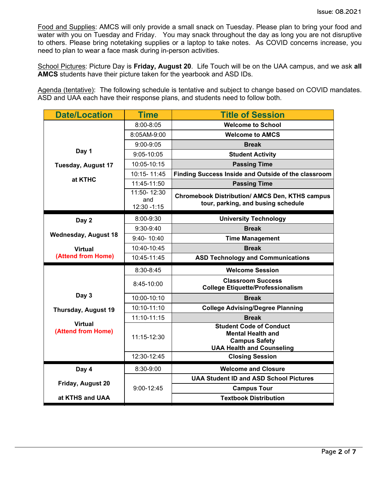Food and Supplies: AMCS will only provide a small snack on Tuesday. Please plan to bring your food and water with you on Tuesday and Friday. You may snack throughout the day as long you are not disruptive to others. Please bring notetaking supplies or a laptop to take notes. As COVID concerns increase, you need to plan to wear a face mask during in-person activities.

School Pictures: Picture Day is **Friday, August 20**. Life Touch will be on the UAA campus, and we ask **all AMCS** students have their picture taken for the yearbook and ASD IDs.

Agenda (tentative): The following schedule is tentative and subject to change based on COVID mandates. ASD and UAA each have their response plans, and students need to follow both.

| <b>Date/Location</b>                 | <b>Time</b>         | <b>Title of Session</b>                                                                                                |  |
|--------------------------------------|---------------------|------------------------------------------------------------------------------------------------------------------------|--|
|                                      | 8:00-8:05           | <b>Welcome to School</b>                                                                                               |  |
|                                      | 8:05AM-9:00         | <b>Welcome to AMCS</b>                                                                                                 |  |
|                                      | $9:00 - 9:05$       | <b>Break</b>                                                                                                           |  |
| Day 1                                | 9:05-10:05          | <b>Student Activity</b>                                                                                                |  |
| <b>Tuesday, August 17</b>            | 10:05-10:15         | <b>Passing Time</b>                                                                                                    |  |
|                                      | 10:15-11:45         | Finding Success Inside and Outside of the classroom                                                                    |  |
| at KTHC                              | 11:45-11:50         | <b>Passing Time</b>                                                                                                    |  |
|                                      | 11:50-12:30         | <b>Chromebook Distribution/ AMCS Den, KTHS campus</b>                                                                  |  |
|                                      | and<br>12:30 - 1:15 | tour, parking, and busing schedule                                                                                     |  |
|                                      |                     |                                                                                                                        |  |
| Day 2                                | 8:00-9:30           | <b>University Technology</b>                                                                                           |  |
| <b>Wednesday, August 18</b>          | 9:30-9:40           | <b>Break</b>                                                                                                           |  |
|                                      | 9:40-10:40          | <b>Time Management</b>                                                                                                 |  |
| <b>Virtual</b><br>(Attend from Home) | 10:40-10:45         | <b>Break</b>                                                                                                           |  |
|                                      | 10:45-11:45         | <b>ASD Technology and Communications</b>                                                                               |  |
|                                      | 8:30-8:45           | <b>Welcome Session</b>                                                                                                 |  |
|                                      | 8:45-10:00          | <b>Classroom Success</b><br><b>College Etiquette/Professionalism</b>                                                   |  |
| Day 3                                | 10:00-10:10         | <b>Break</b>                                                                                                           |  |
| <b>Thursday, August 19</b>           | 10:10-11:10         | <b>College Advising/Degree Planning</b>                                                                                |  |
|                                      | 11:10-11:15         | <b>Break</b>                                                                                                           |  |
| <b>Virtual</b><br>(Attend from Home) | 11:15-12:30         | <b>Student Code of Conduct</b><br><b>Mental Health and</b><br><b>Campus Safety</b><br><b>UAA Health and Counseling</b> |  |
|                                      | 12:30-12:45         | <b>Closing Session</b>                                                                                                 |  |
| Day 4                                | 8:30-9:00           | <b>Welcome and Closure</b>                                                                                             |  |
|                                      | 9:00-12:45          | <b>UAA Student ID and ASD School Pictures</b>                                                                          |  |
| Friday, August 20                    |                     | <b>Campus Tour</b>                                                                                                     |  |
| at KTHS and UAA                      |                     | <b>Textbook Distribution</b>                                                                                           |  |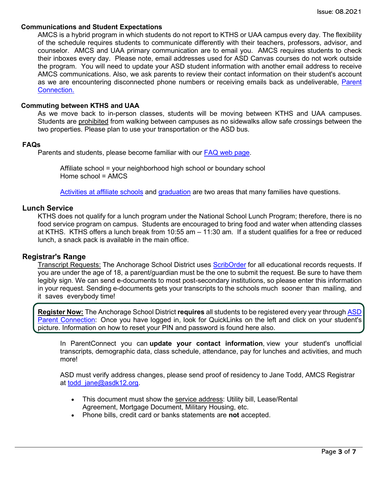#### **Communications and Student Expectations**

AMCS is a hybrid program in which students do not report to KTHS or UAA campus every day. The flexibility of the schedule requires students to communicate differently with their teachers, professors, advisor, and counselor. AMCS and UAA primary communication are to email you. AMCS requires students to check their inboxes every day. Please note, email addresses used for ASD Canvas courses do not work outside the program. You will need to update your ASD student information with another email address to receive AMCS communications. Also, we ask parents to review their contact information on their student's account as we are encountering disconnected phone numbers or receiving emails back as undeliverable, [Parent](https://parentconnect.asdk12.org/production/parentportal%20https:/parentconnect.asdk12.org/production/parentportal)  [Connection.](https://parentconnect.asdk12.org/production/parentportal%20https:/parentconnect.asdk12.org/production/parentportal)

#### **Commuting between KTHS and UAA**

As we move back to in-person classes, students will be moving between KTHS and UAA campuses. Students are prohibited from walking between campuses as no sidewalks allow safe crossings between the two properties. Please plan to use your transportation or the ASD bus.

#### **FAQs**

Parents and students, please become familiar with our [FAQ web page.](https://www.asdk12.org/Page/9779)

Affiliate school = your neighborhood high school or boundary school Home school = AMCS

Activities [at affiliate](https://www.asdk12.org/Page/18119) schools and [graduation](https://www.asdk12.org/Page/18125) are two areas that many families have questions.

#### **Lunch Service**

KTHS does not qualify for a lunch program under the National School Lunch Program; therefore, there is no food service program on campus. Students are encouraged to bring food and water when attending classes at KTHS. KTHS offers a lunch break from 10:55 am – 11:30 am. If a student qualifies for a free or reduced lunch, a snack pack is available in the main office.

#### **Registrar's Range**

Transcript Requests: The Anchorage School District uses [ScribOrder](https://anchorageak.scriborder.com/) for all educational records requests. If you are under the age of 18, a parent/guardian must be the one to submit the request. Be sure to have them legibly sign. We can send e-documents to most post-secondary institutions, so please enter this information in your request. Sending e-documents gets your transcripts to the schools much sooner than mailing, and it saves everybody time!

**Register Now:** The Anchorage School District **requires** all students to be registered every year through [ASD](https://parentconnect.asdk12.org/production/parentportal) Parent [Connection:](https://parentconnect.asdk12.org/production/parentportal)Once you have logged in, look for QuickLinks on the left and click on your student's picture. Information on how to reset your PIN and password is found here also.

In ParentConnect you can **update your contact information**, view your student's unofficial transcripts, demographic data, class schedule, attendance, pay for lunches and activities, and much more!

ASD must verify address changes, please send proof of residency to Jane Todd, AMCS Registrar at [todd\\_jane@asdk12.org.](mailto:todd_jane@asdk12.org)

- This document must show the service address: Utility bill, Lease/Rental Agreement, Mortgage Document, Military Housing, etc.
- Phone bills, credit card or banks statements are **not** accepted.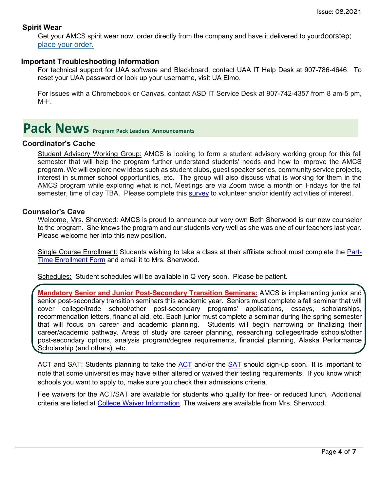# **Spirit Wear**

Get your AMCS spirit wear now, order directly from the company and have it delivered to yourdoorstep; place your [order.](http://www.tntsportsalaska.com/alaska-middle-college-school)

## **Important Troubleshooting Information**

For technical support for UAA software and Blackboard, contact UAA IT Help Desk at 907-786-4646. To reset your UAA password or look up your username, visit [UA Elmo.](https://elmo.alaska.edu/) 

For issues with a Chromebook or Canvas, contact ASD IT Service Desk at 907-742-4357 from 8 am-5 pm, M-F.

# <span id="page-3-0"></span>**Pack News** Program Pack Leaders' Announcements

# **Coordinator's Cache**

Student Advisory Working Group: AMCS is looking to form a student advisory working group for this fall semester that will help the program further understand students' needs and how to improve the AMCS program. We will explore new ideas such as student clubs, guest speaker series, community service projects, interest in summer school opportunities, etc. The group will also discuss what is working for them in the AMCS program while exploring what is not. Meetings are via Zoom twice a month on Fridays for the fall semester, time of day TBA. Please complete this [survey](https://asdk12.qualtrics.com/jfe/form/SV_2hrPoqRX7030Vbo) to volunteer and/or identify activities of interest.

#### **Counselor's Cave**

Welcome, Mrs. Sherwood: AMCS is proud to announce our very own Beth Sherwood is our new counselor to the program. She knows the program and our students very well as she was one of our teachers last year. Please welcome her into this new position.

Single Course Enrollment: Students wishing to take a class at their affiliate school must complete the [Part-](https://www.asdk12.org/cms/Workspace/Section/Section.aspx?DomainId=5532&PageID=16258)[Time Enrollment Form](https://www.asdk12.org/cms/Workspace/Section/Section.aspx?DomainId=5532&PageID=16258) and email it to Mrs. Sherwood.

Schedules: Student schedules will be available in Q very soon. Please be patient.

**Mandatory Senior and Junior Post-Secondary Transition Seminars:** AMCS is implementing junior and senior post-secondary transition seminars this academic year. Seniors must complete a fall seminar that will cover college/trade school/other post-secondary programs' applications, essays, scholarships, recommendation letters, financial aid, etc. Each junior must complete a seminar during the spring semester that will focus on career and academic planning. Students will begin narrowing or finalizing their career/academic pathway. Areas of study are career planning, researching colleges/trade schools/other post-secondary options, analysis program/degree requirements, financial planning, Alaska Performance Scholarship (and others), etc.

ACT and SAT: Students planning to take the [ACT](https://www.act.org/) and/or the [SAT](https://www.collegeboard.org/) should sign-up soon. It is important to note that some universities may have either altered or waived their testing requirements. If you know which schools you want to apply to, make sure you check their admissions criteria.

Fee waivers for the ACT/SAT are available for students who qualify for free- or reduced lunch. Additional criteria are listed at College Waiver [Information.](https://collegereadiness.collegeboard.org/sat/register/fees/fee-waivers) The waivers are available from Mrs. Sherwood.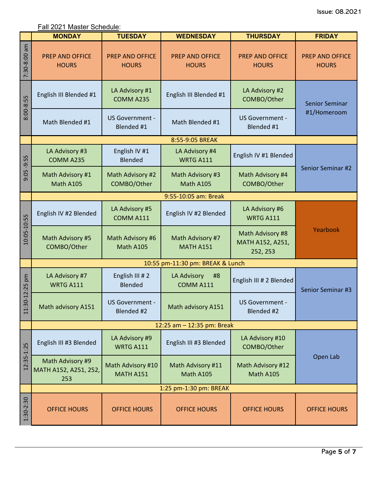Fall 2021 Master Schedule:

|                        | <b>MONDAY</b>                                    | <b>TUESDAY</b>                         | <b>WEDNESDAY</b>                       | <b>THURSDAY</b>                                  | <b>FRIDAY</b>                        |  |
|------------------------|--------------------------------------------------|----------------------------------------|----------------------------------------|--------------------------------------------------|--------------------------------------|--|
| 7:30-8:00 am           | <b>PREP AND OFFICE</b><br><b>HOURS</b>           | <b>PREP AND OFFICE</b><br><b>HOURS</b> | <b>PREP AND OFFICE</b><br><b>HOURS</b> | PREP AND OFFICE<br><b>HOURS</b>                  | PREP AND OFFICE<br><b>HOURS</b>      |  |
| 8:00-8:55              | English III Blended #1                           | LA Advisory #1<br>COMM A235            | English III Blended #1                 | LA Advisory #2<br>COMBO/Other                    | <b>Senior Seminar</b><br>#1/Homeroom |  |
|                        | Math Blended #1                                  | US Government -<br>Blended #1          | Math Blended #1                        | US Government -<br>Blended #1                    |                                      |  |
|                        |                                                  |                                        | 8:55-9:05 BREAK                        |                                                  |                                      |  |
| $-9:55$<br>9:05        | LA Advisory #3<br>COMM A235                      | English IV #1<br>Blended               | LA Advisory #4<br><b>WRTG A111</b>     | English IV #1 Blended                            | Senior Seminar #2                    |  |
|                        | Math Advisory #1<br>Math A105                    | Math Advisory #2<br>COMBO/Other        | Math Advisory #3<br>Math A105          | Math Advisory #4<br>COMBO/Other                  |                                      |  |
|                        |                                                  |                                        | 9:55-10:05 am: Break                   |                                                  |                                      |  |
| 10:05-10:55            | English IV #2 Blended                            | LA Advisory #5<br>COMM A111            | English IV #2 Blended                  | LA Advisory #6<br><b>WRTG A111</b>               | Yearbook                             |  |
|                        | Math Advisory #5<br>COMBO/Other                  | Math Advisory #6<br>Math A105          | Math Advisory #7<br><b>MATH A151</b>   | Math Advisory #8<br>MATH A152, A251,<br>252, 253 |                                      |  |
|                        | 10:55 pm-11:30 pm: BREAK & Lunch                 |                                        |                                        |                                                  |                                      |  |
| pm                     | LA Advisory #7<br><b>WRTG A111</b>               | English III #2<br>Blended              | <b>LA Advisory</b><br>#8<br>COMM A111  | English III # 2 Blended                          | Senior Seminar #3                    |  |
| $:30 - 12:25$<br>$\Xi$ | Math advisory A151                               | US Government -<br>Blended #2          | Math advisory A151                     | US Government -<br>Blended #2                    |                                      |  |
|                        | 12:25 am - 12:35 pm: Break                       |                                        |                                        |                                                  |                                      |  |
| $12:35 - 1:25$         | English III #3 Blended                           | LA Advisory #9<br><b>WRTG A111</b>     | English III #3 Blended                 | LA Advisory #10<br>COMBO/Other                   |                                      |  |
|                        | Math Advisory #9<br>MATH A152, A251, 252,<br>253 | Math Advisory #10<br><b>MATH A151</b>  | Math Advisory #11<br>Math A105         | Math Advisory #12<br>Math A105                   | Open Lab                             |  |
|                        | 1:25 pm-1:30 pm: BREAK                           |                                        |                                        |                                                  |                                      |  |
| 1:30-2:30              | <b>OFFICE HOURS</b>                              | <b>OFFICE HOURS</b>                    | <b>OFFICE HOURS</b>                    | <b>OFFICE HOURS</b>                              | <b>OFFICE HOURS</b>                  |  |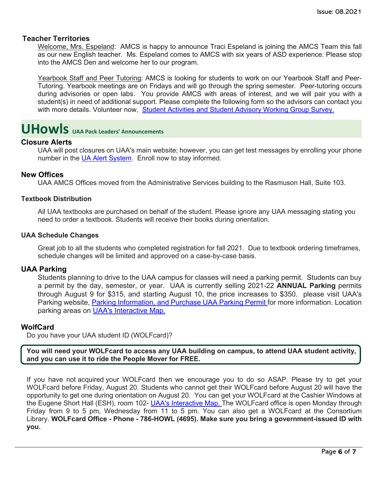# **Teacher Territories**

Welcome, Mrs. Espeland: AMCS is happy to announce Traci Espeland is joining the AMCS Team this fall as our new English teacher. Ms. Espeland comes to AMCS with six years of ASD experience. Please stop into the AMCS Den and welcome her to our program.

Yearbook Staff and Peer Tutoring: AMCS is looking for students to work on our Yearbook Staff and Peer-Tutoring. Yearbook meetings are on Fridays and will go through the spring semester. Peer-tutoring occurs during advisories or open labs. You provide AMCS with areas of interest, and we will pair you with a student(s) in need of additional support. Please complete the following form so the advisors can contact you with more details. Volunteer now, [Student Activities and Student Advisory Working Group Survey.](https://asdk12.qualtrics.com/jfe/form/SV_2hrPoqRX7030Vbo)

# <span id="page-5-0"></span>**UHowls UAA Pack Leaders' Announcements**

# **Closure Alerts**

UAA will post closures on UAA's main website; however, you can get test messages by enrolling your phone number in the [UA Alert System.](https://uaalert.alaska.edu/) Enroll now to stay informed.

### **New Offices**

UAA AMCS Offices moved from the Administrative Services building to the Rasmuson Hall, Suite 103.

### **Textbook Distribution**

All UAA textbooks are purchased on behalf of the student. Please ignore any UAA messaging stating you need to order a textbook. Students will receive their books during orientation.

#### **UAA Schedule Changes**

Great job to all the students who completed registration for fall 2021. Due to textbook ordering timeframes, schedule changes will be limited and approved on a case-by-case basis.

#### **UAA Parking**

Students planning to drive to the UAA campus for classes will need a parking permit. Students can buy a permit by the day, semester, or year. UAA is currently selling 2021-22 **ANNUAL Parking** permits through August 9 for \$315, and starting August 10, the price increases to \$350. please visit UAA's Parking website, [Parking Information, and Purchase UAA Parking Permit f](https://www.uaa.alaska.edu/about/administrative-services/departments/business-services/parking/permit/index.cshtml)or more information. Location parking areas on [UAA's Interactive Map.](https://www.uaa.alaska.edu/map/)

#### **WolfCard**

Do you have your UAA student ID (WOLFcard)?

**You will need your WOLFcard to access any UAA building on campus, to attend UAA student activity, and you can use it to ride the People Mover for FREE.**

If you have not acquired your WOLFcard then we encourage you to do so ASAP. Please try to get your WOLFcard before Friday, August 20. Students who cannot get their WOLFcard before August 20 will have the opportunity to get one during orientation on August 20. You can get your WOLFcard at the Cashier Windows at the Eugene Short Hall (ESH), room 102- [UAA's Interactive Map.](https://www.uaa.alaska.edu/map/) The WOLFcard office is open Monday through Friday from 9 to 5 pm, Wednesday from 11 to 5 pm. You can also get a WOLFcard at the Consortium Library. **WOLFcard Office - Phone - 786-HOWL (4695). Make sure you bring a government-issued ID with you.**